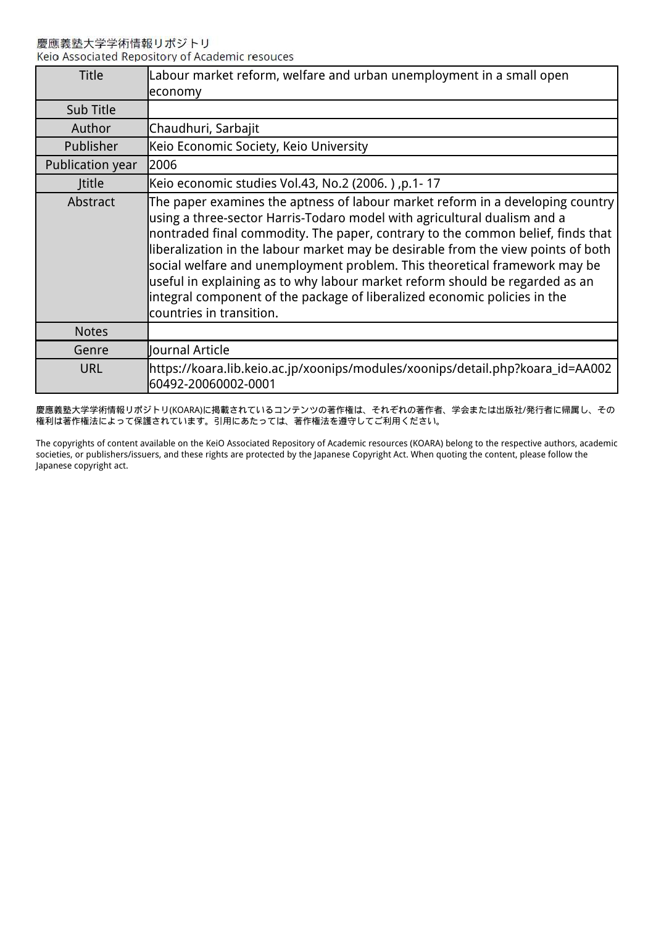慶應義塾大学学術情報リポジトリ Keio Associated Repository of Academic resouces

| <b>Title</b>     | Labour market reform, welfare and urban unemployment in a small open<br>economy                                                                                                                                                                                                                                                                                                                                                                                                                                                                                                                           |
|------------------|-----------------------------------------------------------------------------------------------------------------------------------------------------------------------------------------------------------------------------------------------------------------------------------------------------------------------------------------------------------------------------------------------------------------------------------------------------------------------------------------------------------------------------------------------------------------------------------------------------------|
| Sub Title        |                                                                                                                                                                                                                                                                                                                                                                                                                                                                                                                                                                                                           |
| Author           | Chaudhuri, Sarbajit                                                                                                                                                                                                                                                                                                                                                                                                                                                                                                                                                                                       |
| Publisher        | Keio Economic Society, Keio University                                                                                                                                                                                                                                                                                                                                                                                                                                                                                                                                                                    |
| Publication year | l2006                                                                                                                                                                                                                                                                                                                                                                                                                                                                                                                                                                                                     |
| Jtitle           | Keio economic studies Vol.43, No.2 (2006.), p.1-17                                                                                                                                                                                                                                                                                                                                                                                                                                                                                                                                                        |
| Abstract         | The paper examines the aptness of labour market reform in a developing country<br>using a three-sector Harris-Todaro model with agricultural dualism and a<br>nontraded final commodity. The paper, contrary to the common belief, finds that<br>liberalization in the labour market may be desirable from the view points of both<br>social welfare and unemployment problem. This theoretical framework may be<br>useful in explaining as to why labour market reform should be regarded as an<br>integral component of the package of liberalized economic policies in the<br>countries in transition. |
| <b>Notes</b>     |                                                                                                                                                                                                                                                                                                                                                                                                                                                                                                                                                                                                           |
| Genre            | Journal Article                                                                                                                                                                                                                                                                                                                                                                                                                                                                                                                                                                                           |
| <b>URL</b>       | https://koara.lib.keio.ac.jp/xoonips/modules/xoonips/detail.php?koara_id=AA002<br>60492-20060002-0001                                                                                                                                                                                                                                                                                                                                                                                                                                                                                                     |

慶應義塾大学学術情報リポジトリ(KOARA)に掲載されているコンテンツの著作権は、それぞれの著作者、学会または出版社/発行者に帰属し、その 権利は著作権法によって保護されています。引用にあたっては、著作権法を遵守してご利用ください。

The copyrights of content available on the KeiO Associated Repository of Academic resources (KOARA) belong to the respective authors, academic societies, or publishers/issuers, and these rights are protected by the Japanese Copyright Act. When quoting the content, please follow the Japanese copyright act.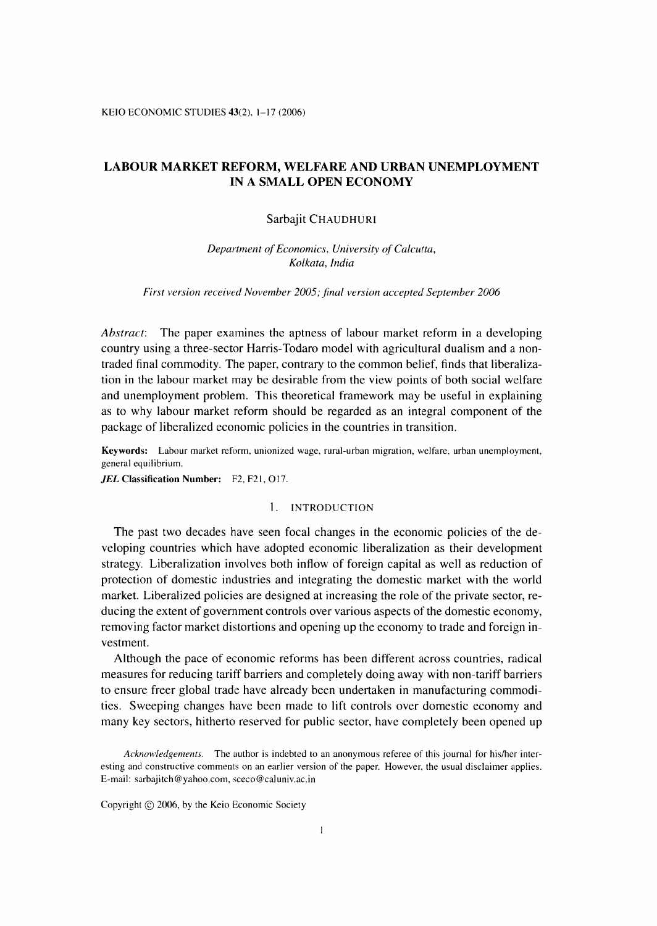KEIO ECONOMIC STUDIES 43(2), 1-17 (2006)

# LABOUR MARKET REFORM, WELFARE AND URBAN UNEMPLOYMENT IN A SMALL OPEN ECONOMY

#### Sarbaiit CHAUDHURI

Department of Economics, University of Calcutta, Kolkata, India

First version received November 2005; final version accepted September 2006

Abstract: The paper examines the aptness of labour market reform in a developing country using a three-sector Harris-Todaro model with agricultural dualism and a nontraded final commodity. The paper, contrary to the common belief, finds that liberalization in the labour market may be desirable from the view points of both social welfare and unemployment problem. This theoretical framework may be useful in explaining as to why labour market reform should be regarded as an integral component of the package of liberalized economic policies in the countries in transition.

Keywords: Labour market reform, unionized wage, rural-urban migration, welfare, urban unemployment, general equilibrium.

JEL Classification Number: F2, F21, 017.

## 1. INTRODUCTION

The past two decades have seen focal changes in the economic policies of the developing countries which have adopted economic liberalization as their development strategy. Liberalization involves both inflow of foreign capital as well as reduction of protection of domestic industries and integrating the domestic market with the world market. Liberalized policies are designed at increasing the role of the private sector, reducing the extent of government controls over various aspects of the domestic economy, removing factor market distortions and opening up the economy to trade and foreign investment.

 Although the pace of economic reforms has been different across countries, radical measures for reducing tariff barriers and completely doing away with non-tariff barriers to ensure freer global trade have already been undertaken in manufacturing commodities. Sweeping changes have been made to lift controls over domestic economy and many key sectors, hitherto reserved for public sector, have completely been opened up

Copyright © 2006, by the Keio Economic Society

Acknowledgements. The author is indebted to an anonymous referee of this journal for his/her interesting and constructive comments on an earlier version of the paper. However, the usual disclaimer applies. E-mail: sarbajitch@yahoo.com, sceco@caluniv.ac.in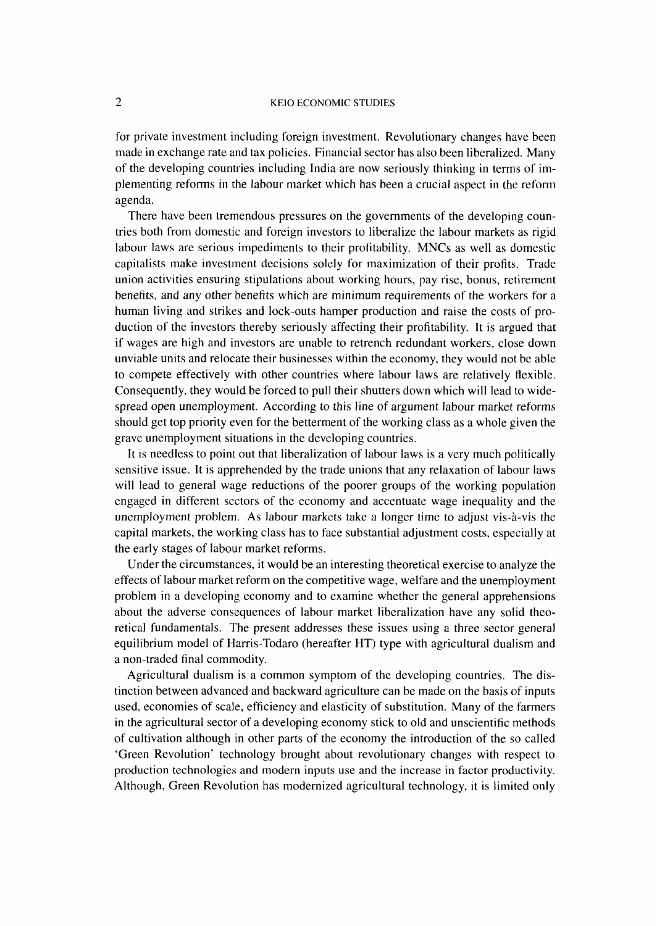for private investment including foreign investment. Revolutionary changes have been made in exchange rate and tax policies. Financial sector has also been liberalized. Many of the developing countries including India are now seriously thinking in terms of implementing reforms in the labour market which has been a crucial aspect in the reform agenda.

 There have been tremendous pressures on the governments of the developing countries both from domestic and foreign investors to liberalize the labour markets as rigid labour laws are serious impediments to their profitability. MNCs as well as domestic capitalists make investment decisions solely for maximization of their profits. Trade union activities ensuring stipulations about working hours, pay rise, bonus, retirement benefits, and any other benefits which are minimum requirements of the workers for a human living and strikes and lock-outs hamper production and raise the costs of production of the investors thereby seriously affecting their profitability. It is argued that if wages are high and investors are unable to retrench redundant workers, close down unviable units and relocate their businesses within the economy, they would not be able to compete effectively with other countries where labour laws are relatively flexible. Consequently, they would be forced to pull their shutters down which will lead to widespread open unemployment. According to this line of argument labour market reforms should get top priority even for the betterment of the working class as a whole given the grave unemployment situations in the developing countries.

It is needless to point out that liberalization of labour laws is a very much politically sensitive issue. It is apprehended by the trade unions that any relaxation of labour laws will lead to general wage reductions of the poorer groups of the working population engaged in different sectors of the economy and accentuate wage inequality and the unemployment problem. As labour markets take a longer time to adjust vis-à-vis the capital markets, the working class has to face substantial adjustment costs, especially at the early stages of labour market reforms.

Under the circumstances, it would be an interesting theoretical exercise to analyze the effects of labour market reform on the competitive wage, welfare and the unemployment problem in a developing economy and to examine whether the general apprehensions about the adverse consequences of labour market liberalization have any solid theoretical fundamentals. The present addresses these issues using a three sector general equilibrium model of Harris-Todaro (hereafter HT) type with agricultural dualism and a non-traded final commodity.

Agricultural dualism is a common symptom of the developing countries. The distinction between advanced and backward agriculture can be made on the basis of inputs used, economies of scale, efficiency and elasticity of substitution. Many of the farmers in the agricultural sector of a developing economy stick to old and unscientific methods of cultivation although in other parts of the economy the introduction of the so called `Green Revolution' technology brought about revolutionary changes with respect to production technologies and modern inputs use and the increase in factor productivity. Although, Green Revolution has modernized agricultural technology, it is limited only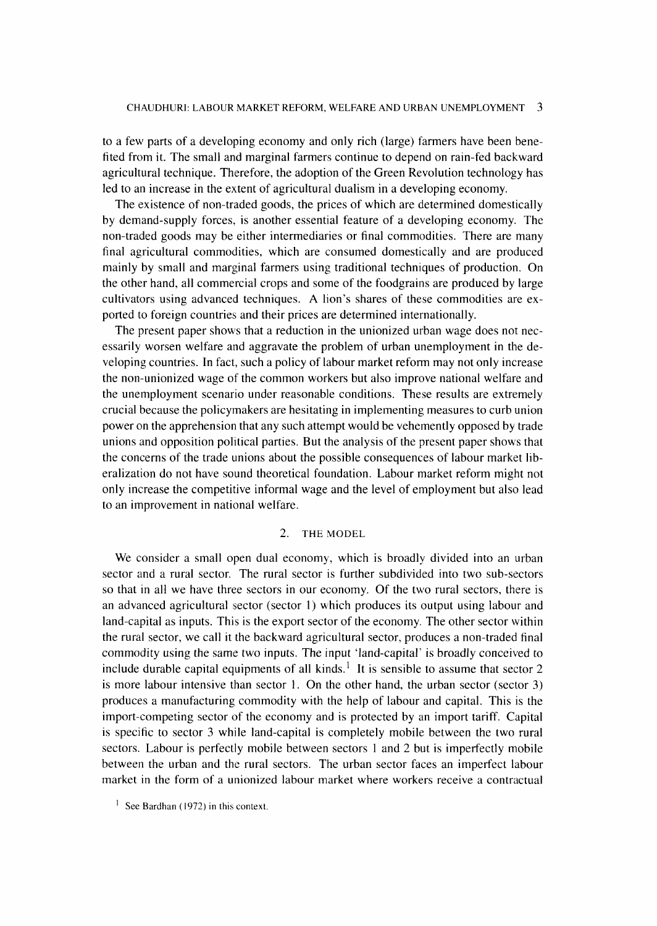to a few parts of a developing economy and only rich (large) farmers have been benefited from it. The small and marginal farmers continue to depend on rain-fed backward agricultural technique. Therefore, the adoption of the Green Revolution technology has led to an increase in the extent of agricultural dualism in a developing economy.

The existence of non-traded goods, the prices of which are determined domestically by demand-supply forces, is another essential feature of a developing economy. The non-traded goods may be either intermediaries or final commodities. There are many final agricultural commodities, which are consumed domestically and are produced mainly by small and marginal farmers using traditional techniques of production. On the other hand, all commercial crops and some of the foodgrains are produced by large cultivators using advanced techniques. A lion's shares of these commodities are exported to foreign countries and their prices are determined internationally.

The present paper shows that a reduction in the unionized urban wage does not necessarily worsen welfare and aggravate the problem of urban unemployment in the developing countries. In fact, such a policy of labour market reform may not only increase the non-unionized wage of the common workers but also improve national welfare and the unemployment scenario under reasonable conditions. These results are extremely crucial because the policymakers are hesitating in implementing measures to curb union power on the apprehension that any such attempt would be vehemently opposed by trade unions and opposition political parties. But the analysis of the present paper shows that the concerns of the trade unions about the possible consequences of labour market liberalization do not have sound theoretical foundation. Labour market reform might not only increase the competitive informal wage and the level of employment but also lead to an improvement in national welfare.

### 2. THE MODEL

We consider a small open dual economy, which is broadly divided into an urban sector and a rural sector. The rural sector is further subdivided into two sub-sectors so that in all we have three sectors in our economy. Of the two rural sectors, there is an advanced agricultural sector (sector 1) which produces its output using labour and land-capital as inputs. This is the export sector of the economy. The other sector within the rural sector, we call it the backward agricultural sector, produces a non-traded final commodity using the same two inputs. The input 'land-capital' is broadly conceived to include durable capital equipments of all kinds.<sup>1</sup> It is sensible to assume that sector 2 is more labour intensive than sector 1. On the other hand, the urban sector (sector 3) produces a manufacturing commodity with the help of labour and capital. This is the import-competing sector of the economy and is protected by an import tariff. Capital is specific to sector 3 while land-capital is completely mobile between the two rural sectors. Labour is perfectly mobile between sectors 1 and 2 but is imperfectly mobile between the urban and the rural sectors. The urban sector faces an imperfect labour market in the form of a unionized labour market where workers receive a contractual

<sup>&</sup>lt;sup>1</sup> See Bardhan (1972) in this context.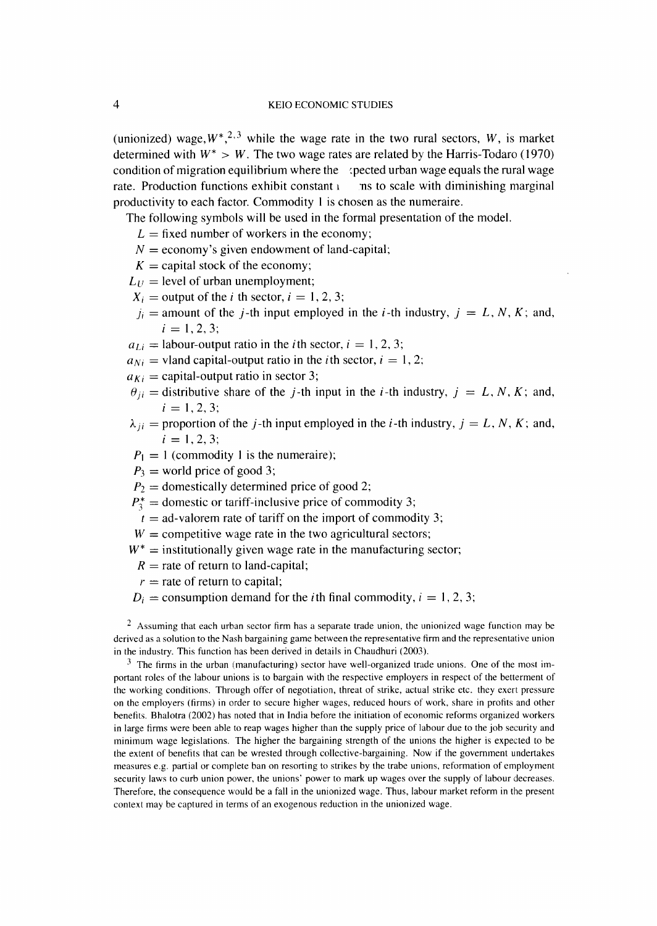(unionized) wage,  $W^*$ ,  $^{2,3}$  while the wage rate in the two rural sectors, W, is market determined with  $W^* > W$ . The two wage rates are related by the Harris-Todaro (1970) condition of migration equilibrium where the  $\alpha$  (pected urban wage equals the rural wage rate. Production functions exhibit constant  $\iota$  is to scale with diminishing marginal productivity to each factor. Commodity 1 is chosen as the numeraire.

The following symbols will be used in the formal presentation of the model.

- $L =$  fixed number of workers in the economy;
- $N =$  economy's given endowment of land-capital;
- $K =$  capital stock of the economy;
- $L_U$  = level of urban unemployment;
- $X_i$  = output of the *i* th sector,  $i = 1, 2, 3$ ;
- $j_i$  = amount of the *j*-th input employed in the *i*-th industry,  $j = L, N, K$ ; and,  $i=1,2,3;$
- $a_{1i} =$  labour-output ratio in the *i*th sector,  $i = 1, 2, 3$ ;
- $a_{Ni}$  = vland capital-output ratio in the *i*th sector,  $i = 1, 2$ ;
- $a_{Ki}$  = capital-output ratio in sector 3;
- $\theta_{ii}$  = distributive share of the *j*-th input in the *i*-th industry,  $j = L, N, K$ ; and,  $i = 1, 2, 3;$
- $\lambda_{ii}$  = proportion of the *j*-th input employed in the *i*-th industry,  $j = L, N, K$ ; and,  $i = 1, 2, 3$ :
- $P_1 = 1$  (commodity 1 is the numeraire);
- $P_3$  = world price of good 3;
- $P_2$  = domestically determined price of good 2;
- $P_1^* =$  domestic or tariff-inclusive price of commodity 3;
- $t =$  ad-valorem rate of tariff on the import of commodity 3;
- $W =$  competitive wage rate in the two agricultural sectors;
- $W^*$  = institutionally given wage rate in the manufacturing sector;
	- $R$  = rate of return to land-capital;
	- $r =$  rate of return to capital;
- $D_i$  = consumption demand for the *i*th final commodity,  $i = 1, 2, 3$ ;

<sup>2</sup> Assuming that each urban sector firm has a separate trade union, the unionized wage function may be derived as a solution to the Nash bargaining game between the representative firm and the representative union in the industry. This function has been derived in details in Chaudhuri (2003).

 $3\text{ }$  The firms in the urban (manufacturing) sector have well-organized trade unions. One of the most important roles of the labour unions is to bargain with the respective employers in respect of the betterment of the working conditions. Through offer of negotiation, threat of strike, actual strike etc. they exert pressure on the employers (firms) in order to secure higher wages, reduced hours of work, share in profits and other benefits. Bhalotra (2002) has noted that in India before the initiation of economic reforms organized workers in large firms were been able to reap wages higher than the supply price of labour due to the job security and minimum wage legislations. The higher the bargaining strength of the unions the higher is expected to be the extent of benefits that can be wrested through collective-bargaining. Now if the government undertakes measures e.g. partial or complete ban on resorting to strikes by the trabe unions, reformation of employment security laws to curb union power, the unions' power to mark up wages over the supply of labour decreases. Therefore, the consequence would be a fall in the unionized wage. Thus, labour market reform in the present context may be captured in terms of an exogenous reduction in the unionized wage.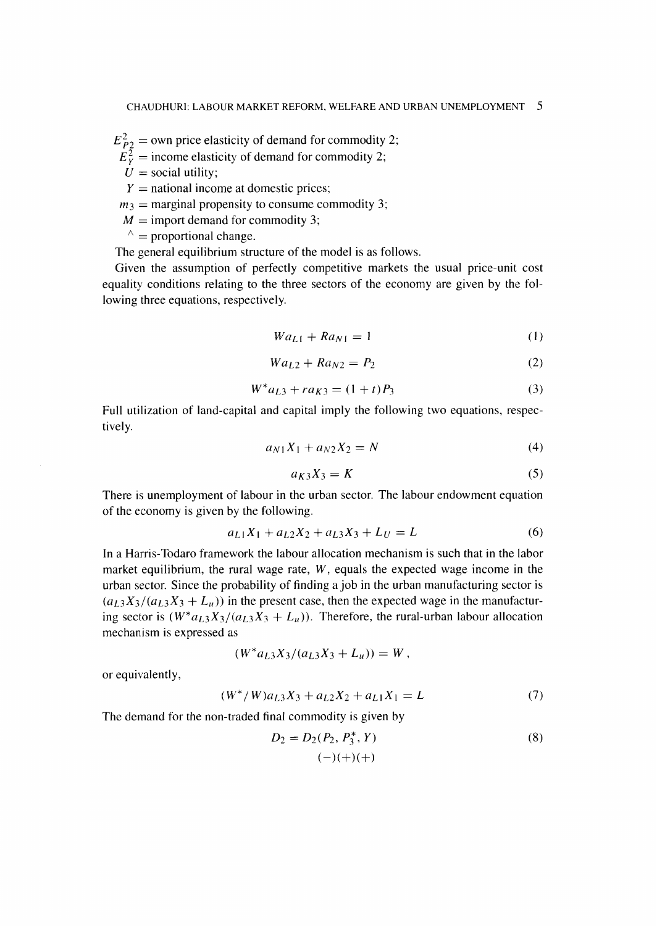$E_{P2}^2$  = own price elasticity of demand for commodity 2;

- $E_Y^{\overline{2}}$  = income elasticity of demand for commodity 2;
- $U =$ social utility;
- $Y =$  national income at domestic prices;
- $m_3$  = marginal propensity to consume commodity 3;
- $M =$  import demand for commodity 3;
- $\wedge$  = proportional change.

The general equilibrium structure of the model is as follows.

Given the assumption of perfectly competitive markets the usual price-unit cost equality conditions relating to the three sectors of the economy are given by the following three equations, respectively.

$$
Wa_{L1} + Ra_{N1} = 1 \tag{1}
$$

$$
Wa_{L2} + Ra_{N2} = P_2 \tag{2}
$$

$$
W^* a_{L3} + r a_{K3} = (1+t)P_3 \tag{3}
$$

Full utilization of land-capital and capital imply the following two equations, resped tively.

$$
a_{N1}X_1 + a_{N2}X_2 = N \tag{4}
$$

$$
a_{K3}X_3 = K \tag{5}
$$

There is unemployment of labour in the urban sector. The labour endowment equation of the economy is given by the following.

$$
a_{L1}X_1 + a_{L2}X_2 + a_{L3}X_3 + L_U = L \tag{6}
$$

In a Harris-Todaro framework the labour allocation mechanism is such that in the labor market equilibrium, the rural wage rate,  $W$ , equals the expected wage income in the urban sector. Since the probability of finding a job in the urban manufacturing sector is  $(a_{L3}X_3/(a_{L3}X_3 + L_u))$  in the present case, then the expected wage in the manufacturing sector is  $(W^*a_{L3}X_3/(a_{L3}X_3 + L_u))$ . Therefore, the rural-urban labour allocation mechanism is expressed as

$$
(W^*a_{L3}X_3/(a_{L3}X_3+L_u))=W,
$$

or equivalently,

$$
(W^*/W)a_{L3}X_3 + a_{L2}X_2 + a_{L1}X_1 = L \tag{7}
$$

The demand for the non-traded final commodity is given by

$$
D_2 = D_2(P_2, P_3^*, Y) \tag{8}
$$
  

$$
(-)(+)(+)
$$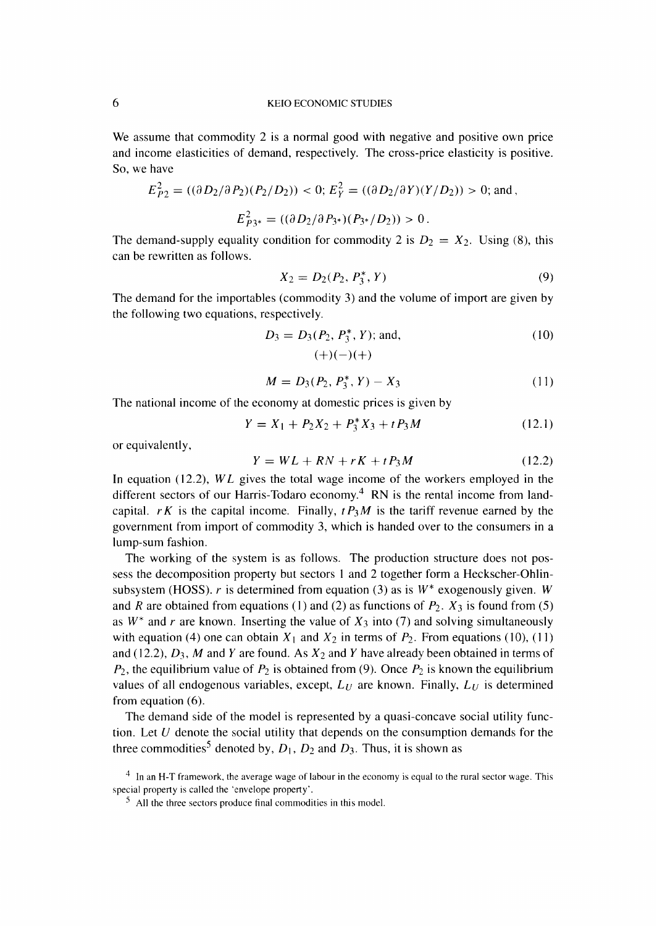We assume that commodity 2 is a normal good with negative and positive own price and income elasticities of demand, respectively. The cross-price elasticity is positive. So, we have

$$
E_{P2}^2 = ((\partial D_2/\partial P_2)(P_2/D_2)) < 0; E_Y^2 = ((\partial D_2/\partial Y)(Y/D_2)) > 0; \text{ and } ,
$$
\n
$$
E_{P3^*}^2 = ((\partial D_2/\partial P_{3^*})(P_{3^*}/D_2)) > 0.
$$

The demand-supply equality condition for commodity 2 is  $D_2 = X_2$ . Using (8), this can be rewritten as follows.

$$
X_2 = D_2(P_2, P_3^*, Y) \tag{9}
$$

The demand for the importables (commodity 3) and the volume of import are given by the following two equations, respectively.

$$
D_3 = D_3(P_2, P_3^*, Y); \text{ and,} \tag{10}
$$

$$
(+)(-)(+)
$$

$$
M = D_3(P_2, P_3^*, Y) - X_3 \tag{11}
$$

The national income of the economy at domestic prices is given by

$$
Y = X_1 + P_2 X_2 + P_3^* X_3 + t P_3 M \tag{12.1}
$$

or equivalently,

$$
Y = WL + RN + rK + tP_3M \tag{12.2}
$$

In equation (12.2),  $WL$  gives the total wage income of the workers employed in the different sectors of our Harris-Todaro economy.<sup>4</sup> RN is the rental income from landcapital.  $rK$  is the capital income. Finally,  $tP_3M$  is the tariff revenue earned by the government from import of commodity 3, which is handed over to the consumers in a lump-sum fashion.

The working of the system is as follows. The production structure does not possess the decomposition property but sectors 1 and 2 together form a Heckscher-Ohlinsubsystem (HOSS). r is determined from equation (3) as is  $W^*$  exogenously given. W and R are obtained from equations (1) and (2) as functions of  $P_2$ .  $X_3$  is found from (5) as  $W^*$  and r are known. Inserting the value of  $X_3$  into (7) and solving simultaneously with equation (4) one can obtain  $X_1$  and  $X_2$  in terms of  $P_2$ . From equations (10), (11) and (12.2),  $D_3$ , M and Y are found. As  $X_2$  and Y have already been obtained in terms of  $P_2$ , the equilibrium value of  $P_2$  is obtained from (9). Once  $P_2$  is known the equilibrium values of all endogenous variables, except,  $L_U$  are known. Finally,  $L_U$  is determined from equation (6).

The demand side of the model is represented by a quasi-concave social utility function. Let  $U$  denote the social utility that depends on the consumption demands for the three commodities<sup>5</sup> denoted by,  $D_1$ ,  $D_2$  and  $D_3$ . Thus, it is shown as

 $4\;$  In an H-T framework, the average wage of labour in the economy is equal to the rural sector wage. This special property is called the `envelope property'.

 $<sup>5</sup>$  All the three sectors produce final commodities in this model.</sup>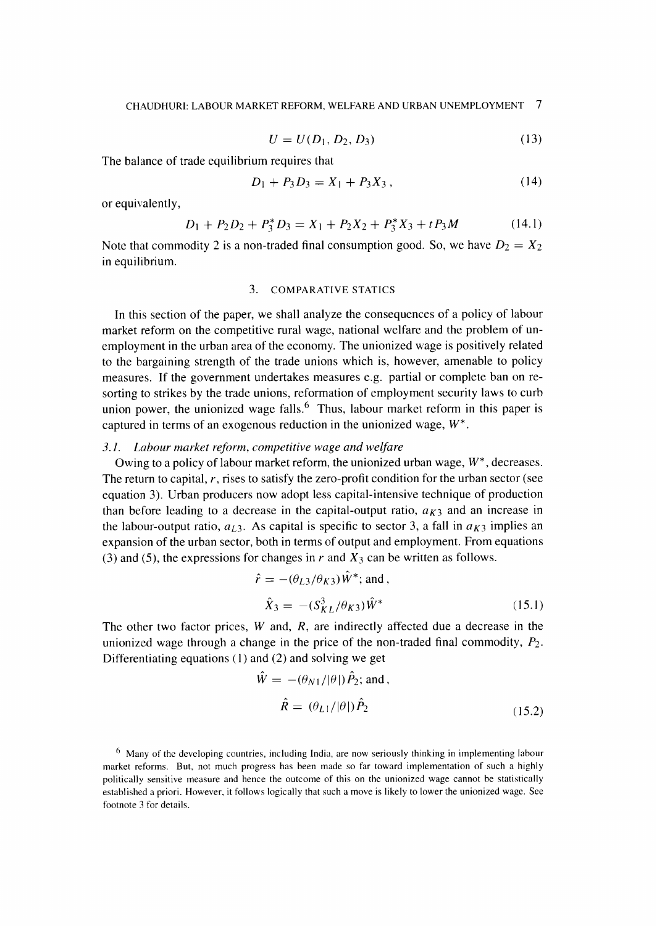$$
U = U(D_1, D_2, D_3) \tag{13}
$$

The balance of trade equilibrium requires that

$$
D_1 + P_3 D_3 = X_1 + P_3 X_3, \tag{14}
$$

or equivalently,

$$
D_1 + P_2 D_2 + P_3^* D_3 = X_1 + P_2 X_2 + P_3^* X_3 + t P_3 M \tag{14.1}
$$

Note that commodity 2 is a non-traded final consumption good. So, we have  $D_2 = X_2$ in equilibrium.

## 3. COMPARATIVE STATICS

 In this section of the paper, we shall analyze the consequences of a policy of labour market reform on the competitive rural wage, national welfare and the problem of unemployment in the urban area of the economy. The unionized wage is positively related to the bargaining strength of the trade unions which is, however, amenable to policy measures. If the government undertakes measures e.g. partial or complete ban on resorting to strikes by the trade unions, reformation of employment security laws to curb union power, the unionized wage falls.<sup>6</sup> Thus, labour market reform in this paper is captured in terms of an exogenous reduction in the unionized wage,  $W^*$ .

### 3.1. Labour market reform, competitive wage and welfare

Owing to a policy of labour market reform, the unionized urban wage,  $W^*$ , decreases. The return to capital,  $r$ , rises to satisfy the zero-profit condition for the urban sector (see equation 3). Urban producers now adopt less capital-intensive technique of production than before leading to a decrease in the capital-output ratio,  $a_{K3}$  and an increase in the labour-output ratio,  $a_{L3}$ . As capital is specific to sector 3, a fall in  $a_{K3}$  implies an expansion of the urban sector, both in terms of output and employment. From equations (3) and (5), the expressions for changes in r and  $X_3$  can be written as follows.

$$
\hat{r} = -(\theta_{L3}/\theta_{K3})\hat{W}^*; \text{ and},
$$
  

$$
\hat{X}_3 = -(\hat{S}_{KL}^3/\theta_{K3})\hat{W}^*
$$
 (15.1)

The other two factor prices,  $W$  and,  $R$ , are indirectly affected due a decrease in the unionized wage through a change in the price of the non-traded final commodity,  $P_2$ . Differentiating equations (1) and (2) and solving we get

$$
\hat{W} = -(\theta_{N1}/|\theta|)\hat{P}_2; \text{ and},
$$
\n
$$
\hat{R} = (\theta_{L1}/|\theta|)\hat{P}_2
$$
\n(15.2)

 $<sup>6</sup>$  Many of the developing countries, including India, are now seriously thinking in implementing labour</sup> market reforms. But, not much progress has been made so far toward implementation of such a highly politically sensitive measure and hence the outcome of this on the unionized wage cannot be statistically established a priori. However, it follows logically that such a move is likely to lower the unionized wage. See footnote 3 for details.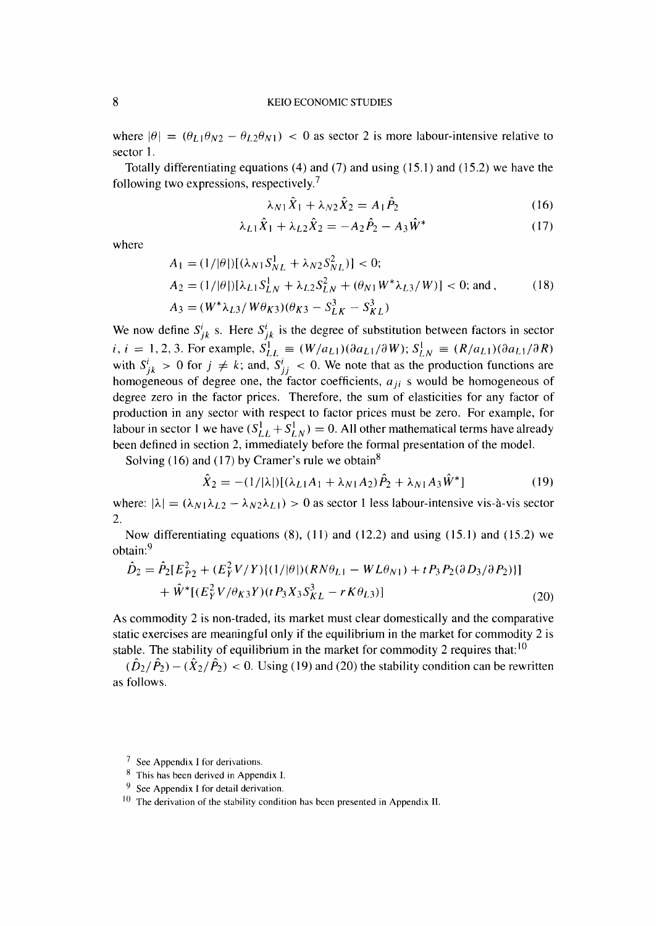where  $|\theta| = (\theta_{L1} \theta_{N2} - \theta_{L2} \theta_{N1}) < 0$  as sector 2 is more labour-intensive relative to sector 1.

Totally differentiating equations  $(4)$  and  $(7)$  and using  $(15.1)$  and  $(15.2)$  we have the following two expressions, respectively.

$$
\lambda_{N1}\hat{X}_1 + \lambda_{N2}\hat{X}_2 = A_1\hat{P}_2 \tag{16}
$$

$$
\lambda_{L1}\hat{X}_1 + \lambda_{L2}\hat{X}_2 = -A_2\hat{P}_2 - A_3\hat{W}^*
$$
 (17)

where

$$
A_1 = (1/|\theta|)[(\lambda_{N1}S_{NL}^1 + \lambda_{N2}S_{NL}^2)] < 0;
$$
  
\n
$$
A_2 = (1/|\theta|)[\lambda_{L1}S_{LN}^1 + \lambda_{L2}S_{LN}^2 + (\theta_{N1}W^*\lambda_{L3}/W)] < 0; \text{ and } , \qquad (18)
$$
  
\n
$$
A_3 = (W^*\lambda_{L3}/W\theta_{K3})(\theta_{K3} - S_{LK}^3 - S_{KL}^3)
$$

We now define  $S_{jk}^i$  s. Here  $S_{jk}^i$  is the degree of substitution between factors in sector  $i, i = 1, 2, 3$ . For example,  $S_{LL}^1 \equiv (W/a_{L1})(\partial a_{L1}/\partial W); S_{LN}^1 \equiv (R/a_{L1})(\partial a_{L1}/\partial R)$ with  $S_{ik}^i > 0$  for  $j \neq k$ ; and,  $S_{ij}^i < 0$ . We note that as the production functions are homogeneous of degree one, the factor coefficients,  $a_{ij}$  s would be homogeneous of degree zero in the factor prices. Therefore, the sum of elasticities for any factor of production in any sector with respect to factor prices must be zero. For example, for labour in sector 1 we have  $(S_{LL}^1 + S_{LN}^1) = 0$ . All other mathematical terms have already been defined in section 2, immediately before the formal presentation of the model.

Solving (16) and (17) by Cramer's rule we obtain<sup>8</sup>

$$
\hat{X}_2 = -(1/|\lambda|)[(\lambda_{L1}A_1 + \lambda_{N1}A_2)\hat{P}_2 + \lambda_{N1}A_3\hat{W}^*]
$$
\n(19)

where:  $|\lambda| = (\lambda_{N1}\lambda_{12} - \lambda_{N2}\lambda_{L1}) > 0$  as sector 1 less labour-intensive vis-à-vis sector 2.

Now differentiating equations  $(8)$ ,  $(11)$  and  $(12.2)$  and using  $(15.1)$  and  $(15.2)$  we obtain:9

$$
\hat{D}_2 = \hat{P}_2[E_{P2}^2 + (E_Y^2 V/Y)\{(1/|\theta|)(RN\theta_{L1} - WL\theta_{N1}) + tP_3P_2(\partial D_3/\partial P_2)\}] \n+ \hat{W}^*[(E_Y^2 V/\theta_{K3}Y)(tP_3X_3S_{KL}^3 - rK\theta_{L3})]
$$
\n(20)

As commodity 2 is non-traded, its market must clear domestically and the comparative static exercises are meaningful only if the equilibrium in the market for commodity 2 is stable. The stability of equilibrium in the market for commodity 2 requires that:<sup>10</sup>

 $(\hat{D}_2/\hat{P}_2) - (\hat{X}_2/\hat{P}_2) < 0$ . Using (19) and (20) the stability condition can be rewritten as follows.

 $7$  See Appendix I for derivations.

<sup>&</sup>lt;sup>8</sup> This has been derived in Appendix I.

<sup>&</sup>lt;sup>9</sup> See Appendix I for detail derivation.

 $10$  The derivation of the stability condition has been presented in Appendix II.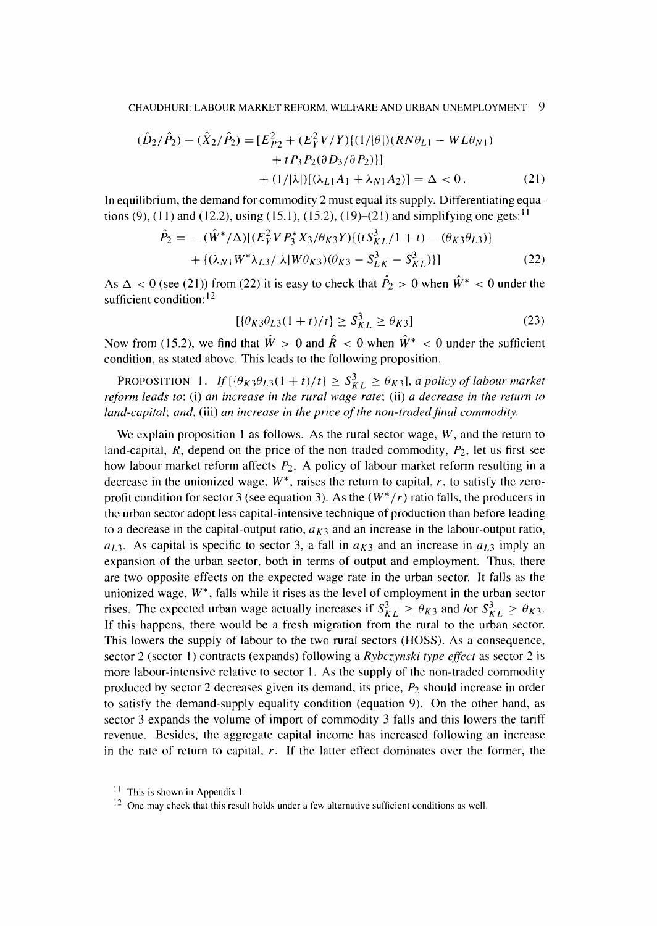$$
(\hat{D}_2/\hat{P}_2) - (\hat{X}_2/\hat{P}_2) = [E_{P2}^2 + (E_Y^2 V/Y)\{(1/|\theta|)(RN\theta_{L1} - WL\theta_{N1}) + tP_3P_2(\partial D_3/\partial P_2)\}] + (1/|\lambda|)[(\lambda_{L1}A_1 + \lambda_{N1}A_2)] = \Delta < 0.
$$
 (21)

In equilibrium, the demand for commodity 2 must equal its supply. Differentiating equations (9), (11) and (12.2), using (15.1), (15.2), (19)–(21) and simplifying one gets: <sup>11</sup>

$$
\hat{P}_2 = -(\hat{W}^*/\Delta)[(E_Y^2 V P_3^* X_3/\theta_{K3} Y)(t S_{KL}^3/1 + t) - (\theta_{K3}\theta_{L3})]
$$
  
+ {(\lambda\_{N1} W^\* \lambda\_{L3}/|\lambda| W \theta\_{K3})(\theta\_{K3} - S\_{LK}^3 - S\_{KL}^3)] (22)

As  $\Delta < 0$  (see (21)) from (22) it is easy to check that  $\hat{P}_2 > 0$  when  $\hat{W}^* < 0$  under the sufficient condition:<sup>12</sup>

$$
[\{\theta_K \mathfrak{z} \theta_{L3} (1+t)/t\} \ge S_{KL}^3 \ge \theta_{K3}]
$$
\n(23)

Now from (15.2), we find that  $\hat{W} > 0$  and  $\hat{R} < 0$  when  $\hat{W}^* < 0$  under the sufficient condition, as stated above. This leads to the following proposition.

**PROPOSITION** 1. If  $[\{\theta_K \mathfrak{z} \theta_{L3}(1 + t)/t\} \geq S_{KL}^3 \geq \theta_{K3}]$ , a policy of labour market reform leads to: (i) an increase in the rural wage rate; (ii) a decrease in the return to land-capital; and, (iii) an increase in the price of the non-traded final commodity.

We explain proposition 1 as follows. As the rural sector wage,  $W$ , and the return to land-capital,  $R$ , depend on the price of the non-traded commodity,  $P_2$ , let us first see how labour market reform affects  $P_2$ . A policy of labour market reform resulting in a decrease in the unionized wage,  $W^*$ , raises the return to capital, r, to satisfy the zeroprofit condition for sector 3 (see equation 3). As the  $(W^*/r)$  ratio falls, the producers in the urban sector adopt less capital-intensive technique of production than before leading to a decrease in the capital-output ratio,  $a_{K3}$  and an increase in the labour-output ratio,  $a_{1,3}$ . As capital is specific to sector 3, a fall in  $a_{K3}$  and an increase in  $a_{L3}$  imply an expansion of the urban sector, both in terms of output and employment. Thus, there are two opposite effects on the expected wage rate in the urban sector. It falls as the unionized wage,  $W^*$ , falls while it rises as the level of employment in the urban sector rises. The expected urban wage actually increases if  $S_{KL}^3 \ge \theta_{K3}$  and /or  $S_{KL}^3 \ge \theta_{K3}$ . If this happens, there would be a fresh migration from the rural to the urban sector. This lowers the supply of labour to the two rural sectors (HOSS). As a consequence, sector 2 (sector 1) contracts (expands) following a Rybczynski type effect as sector 2 is more labour-intensive relative to sector 1. As the supply of the non-traded commodity produced by sector 2 decreases given its demand, its price,  $P_2$  should increase in order to satisfy the demand-supply equality condition (equation 9). On the other hand, as sector 3 expands the volume of import of commodity 3 falls and this lowers the tariff revenue. Besides, the aggregate capital income has increased following an increase in the rate of return to capital,  $r$ . If the latter effect dominates over the former, the

<sup>&</sup>lt;sup>11</sup> This is shown in Appendix I.

 $12$  One may check that this result holds under a few alternative sufficient conditions as well.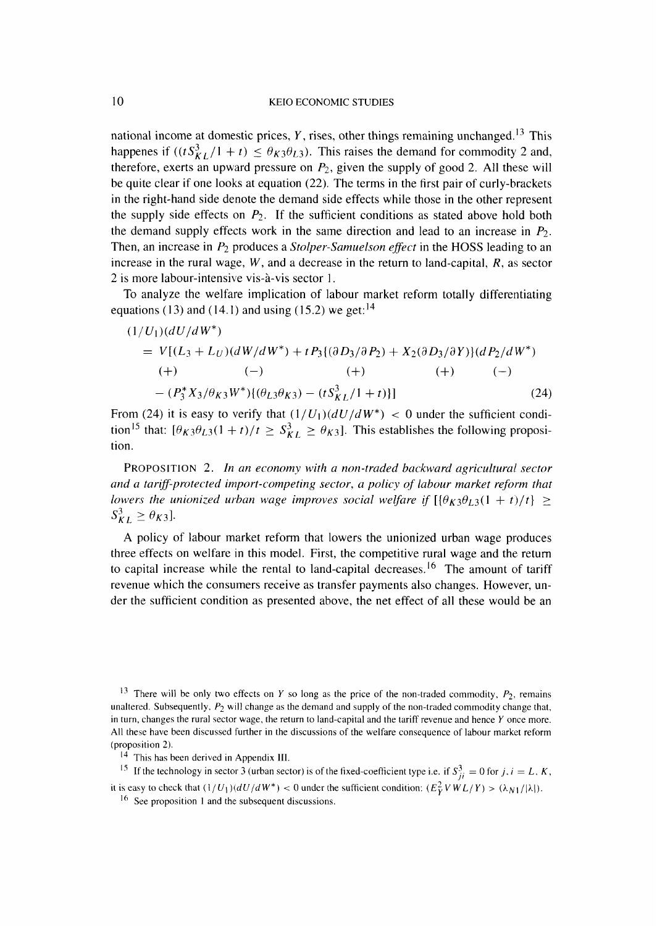national income at domestic prices, Y, rises, other things remaining unchanged.<sup>13</sup> This happenes if  $((tS_{KI}^3/1 + t) \leq \theta_{K3}\theta_{L3})$ . This raises the demand for commodity 2 and, therefore, exerts an upward pressure on  $P_2$ , given the supply of good 2. All these will be quite clear if one looks at equation (22). The terms in the first pair of curly-brackets in the right-hand side denote the demand side effects while those in the other represent the supply side effects on  $P_2$ . If the sufficient conditions as stated above hold both the demand supply effects work in the same direction and lead to an increase in  $P_2$ . Then, an increase in  $P_2$  produces a *Stolper-Samuelson effect* in the HOSS leading to an increase in the rural wage,  $W$ , and a decrease in the return to land-capital,  $R$ , as sector 2 is more labour-intensive vis-à-vis sector 1.

To analyze the welfare implication of labour market reform totally differentiating equations (13) and (14.1) and using (15.2) we get:  $14$ 

$$
(1/U_1)(dU/dW^*)
$$
  
=  $V[(L_3 + L_U)(dW/dW^*) + tP_3{(\partial D_3/\partial P_2) + X_2(\partial D_3/\partial Y)}(dP_2/dW^*)$   
(+)  $(-)$  (+)  $(+)$   $(-)$   
 $-(P_3^*X_3/\theta_{K3}W^*){(\theta_{L3}\theta_{K3}) - (tS_{KL}^3/1 + t)}]$  (24)

From (24) it is easy to verify that  $(1 / U_1) (dU/dW^*)$  < 0 under the sufficient condition<sup>15</sup> that:  $[\theta_K \theta_{L3}(1 + t)/t \geq S_{KL}^3] \geq \theta_{K3}$ . This establishes the following proposition.

PROPOSITION 2. In an economy with a non-traded backward agricultural sector and a tariff-protected import-competing sector, a policy of labour market reform that lowers the unionized urban wage improves social welfare if  $[(\theta_K \theta_{L3}(1 + t)/t)] \ge$  $S_{KL}^3 \ge \theta_{K3}$ ].

 A policy of labour market reform that lowers the unionized urban wage produces three effects on welfare in this model. First, the competitive rural wage and the return to capital increase while the rental to land-capital decreases.<sup>16</sup> The amount of tariff revenue which the consumers receive as transfer payments also changes. However, under the sufficient condition as presented above, the net effect of all these would be an

 $14$  This has been derived in Appendix III.

<sup>15</sup> If the technology in sector 3 (urban sector) is of the fixed-coefficient type i.e. if  $S_{ii}^3 = 0$  for j,  $i = L, K$ ,

it is easy to check that  $(1/U_1)(dU/dW^*)$  < 0 under the sufficient condition:  $(E_Y^2 VWL/Y) > (\lambda_{N1}/|\lambda|)$ .

<sup>&</sup>lt;sup>13</sup> There will be only two effects on Y so long as the price of the non-traded commodity,  $P_2$ , remains unaltered. Subsequently,  $P_2$  will change as the demand and supply of the non-traded commodity change that, in turn, changes the rural sector wage, the return to land-capital and the tariff revenue and hence  $Y$  once more. All these have been discussed further in the discussions of the welfare consequence of labour market reform (proposition 2).

 <sup>16</sup> See proposition 1 and the subsequent discussions .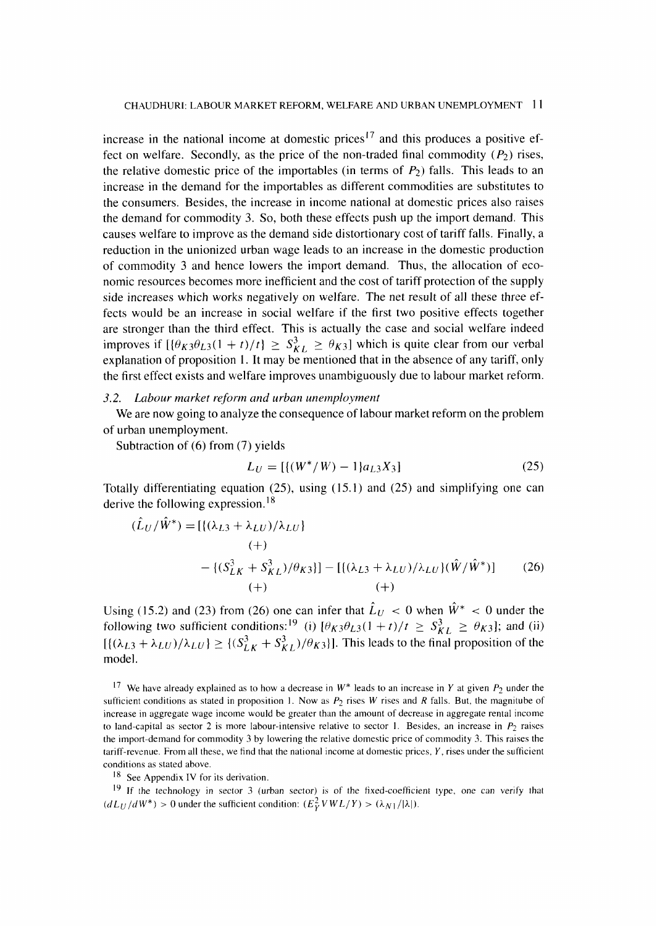increase in the national income at domestic prices<sup>17</sup> and this produces a positive effect on welfare. Secondly, as the price of the non-traded final commodity  $(P_2)$  rises, the relative domestic price of the importables (in terms of  $P_2$ ) falls. This leads to an increase in the demand for the importables as different commodities are substitutes to the consumers. Besides, the increase in income national at domestic prices also raises the demand for commodity 3. So, both these effects push up the import demand. This causes welfare to improve as the demand side distortionary cost of tariff falls. Finally, a reduction in the unionized urban wage leads to an increase in the domestic production of commodity 3 and hence lowers the import demand. Thus, the allocation of economic resources becomes more inefficient and the cost of tariff protection of the supply side increases which works negatively on welfare. The net result of all these three effects would be an increase in social welfare if the first two positive effects together are stronger than the third effect. This is actually the case and social welfare indeed improves if  $[{(\theta_{K3}\theta_{L3}(1 + t)/t)} \geq S_{KL}^3 \geq \theta_{K3}]$  which is quite clear from our verbal explanation of proposition 1. It may be mentioned that in the absence of any tariff, only the first effect exists and welfare improves unambiguously due to labour market reform.

### 3.2. Labour market reform and urban unemployment

We are now going to analyze the consequence of labour market reform on the problem of urban unemployment.

Subtraction of (6) from (7) yields

$$
L_U = [\{(W^*/W) - 1\}a_{L3}X_3] \tag{25}
$$

Totally differentiating equation (25), using (15.1) and (25) and simplifying one can derive the following expression.18

$$
(L_U/W^*) = [\{(\lambda_{L3} + \lambda_{LU})/\lambda_{LU}\}\
$$
  
(+)  

$$
- \{(\mathcal{S}_{LK}^3 + \mathcal{S}_{KL}^3)/\theta_{K3}\}] - [(\lambda_{L3} + \lambda_{LU})/\lambda_{LU}\}(\hat{W}/\hat{W}^*)]
$$
(26)  
(+) (+)

Using (15.2) and (23) from (26) one can infer that  $L_U < 0$  when  $W^* < 0$  under the following two sufficient conditions:<sup>19</sup> (i)  $[\theta_K 3\theta_{L3}(1 + t)/t \geq S_{KL}^3 \geq \theta_{K3}]$ ; and (ii)  $[{(\lambda_{L3} + \lambda_{LU})/\lambda_{LU}}] \geq {(S_{LK}^3 + S_{KL}^3)/\theta_{K3}}]$ . This leads to the final proposition of the model.

<sup>17</sup> We have already explained as to how a decrease in  $W^*$  leads to an increase in Y at given  $P_2$  under the sufficient conditions as stated in proposition 1. Now as  $P_2$  rises W rises and R falls. But, the magnitube of increase in aggregate wage income would be greater than the amount of decrease in aggregate rental income to land-capital as sector 2 is more labour-intensive relative to sector 1. Besides, an increase in  $P_2$  raises the import-demand for commodity 3 by lowering the relative domestic price of commodity 3. This raises the tariff-revenue. From all these, we find that the national income at domestic prices,  $Y$ , rises under the sufficient conditions as stated above.

<sup>18</sup> See Appendix IV for its derivation.

<sup>19</sup> If the technology in sector 3 (urban sector) is of the fixed-coefficient type, one can verify that  $(dL_U/dW^*)$  > 0 under the sufficient condition:  $(E_V^2 V W L/Y)$  >  $(\lambda_{N1}/|\lambda|)$ .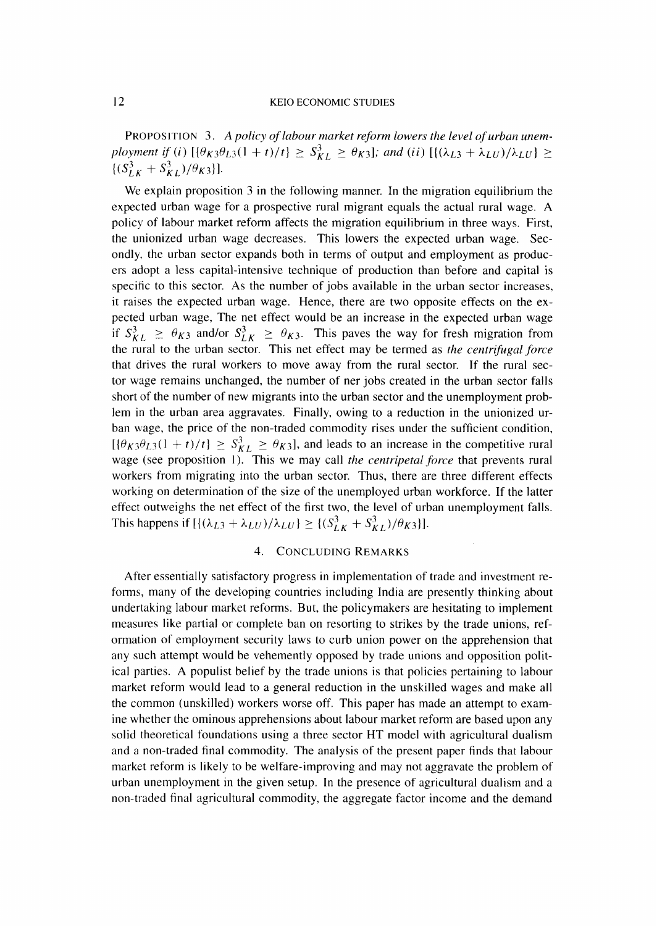PROPOSITION 3. A policy of labour market reform lowers the level of urban unemployment if (i)  $[\{\theta_K \beta \theta_{L3}(1 + t)/t\} \geq S_{KL}^3 \geq \theta_{K3}]$ ; and (ii)  $[\{\lambda_{L3} + \lambda_{LU}\}/\lambda_{LU}] \geq$  $\{(S_{LK}^3 + S_{KL}^3)/\theta_{K3}\}.$ 

We explain proposition 3 in the following manner. In the migration equilibrium the expected urban wage for a prospective rural migrant equals the actual rural wage. A policy of labour market reform affects the migration equilibrium in three ways. First, the unionized urban wage decreases. This lowers the expected urban wage. Secondly, the urban sector expands both in terms of output and employment as producers adopt a less capital-intensive technique of production than before and capital is specific to this sector. As the number of jobs available in the urban sector increases, it raises the expected urban wage. Hence, there are two opposite effects on the expected urban wage, The net effect would be an increase in the expected urban wage if  $S_{KL}^3 \ge \theta_{K3}$  and/or  $S_{LK}^3 \ge \theta_{K3}$ . This paves the way for fresh migration from the rural to the urban sector. This net effect may be termed as the centrifugal force that drives the rural workers to move away from the rural sector. If the rural sector wage remains unchanged, the number of net jobs created in the urban sector falls short of the number of new migrants into the urban sector and the unemployment problem in the urban area aggravates. Finally, owing to a reduction in the unionized urban wage, the price of the non-traded commodity rises under the sufficient condition,  $[\{\theta_{K3}\theta_{L3}(1 + t)/t\} \geq S_{KL}^3 \geq \theta_{K3}]$ , and leads to an increase in the competitive rural wage (see proposition 1). This we may call the centripetal force that prevents rural workers from migrating into the urban sector. Thus, there are three different effects working on determination of the size of the unemployed urban workforce. If the latter effect outweighs the net effect of the first two, the level of urban unemployment falls. This happens if  $[{((\lambda_{L3} + \lambda_{LU})/\lambda_{LU}) \geq ((S_{LK}^3 + S_{KL}^3)/\theta_{K3})}].$ 

### 4. CONCLUDING REMARKS

 After essentially satisfactory progress in implementation of trade and investment reforms, many of the developing countries including India are presently thinking about undertaking labour market reforms. But, the policymakers are hesitating to implement measures like partial or complete ban on resorting to strikes by the trade unions, reformation of employment security laws to curb union power on the apprehension that any such attempt would be vehemently opposed by trade unions and opposition political parties. A populist belief by the trade unions is that policies pertaining to labour market reform would lead to a general reduction in the unskilled wages and make all the common (unskilled) workers worse off. This paper has made an attempt to examine whether the ominous apprehensions about labour market reform are based upon any solid theoretical foundations using a three sector HT model with agricultural dualism and a non-traded final commodity. The analysis of the present paper finds that labour market reform is likely to be welfare-improving and may not aggravate the problem of urban unemployment in the given setup. In the presence of agricultural dualism and a non-traded final agricultural commodity, the aggregate factor income and the demand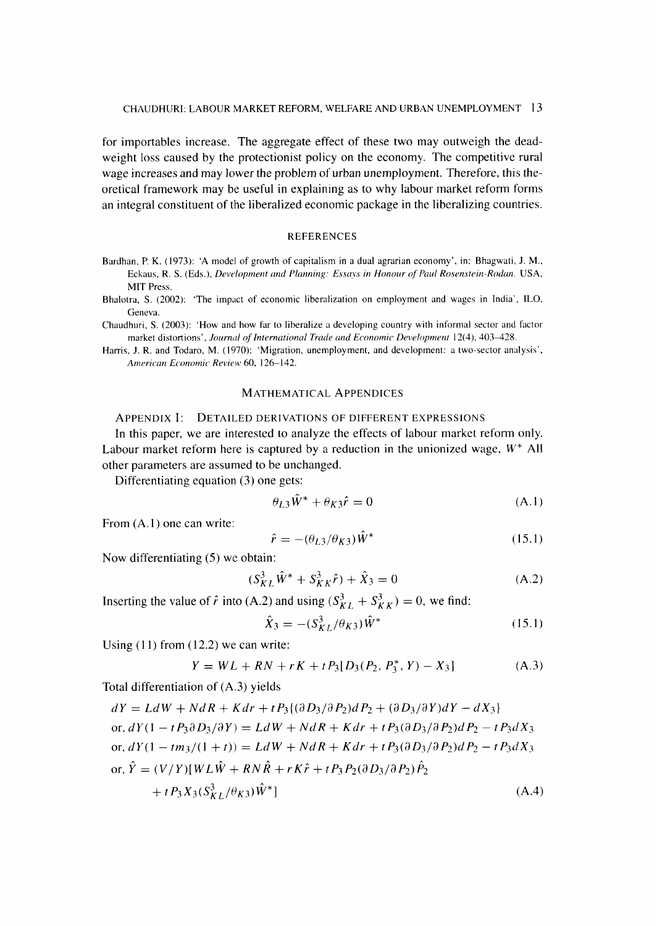for importables increase. The aggregate effect of these two may outweigh the deadweight loss caused by the protectionist policy on the economy. The competitive rural wage increases and may lower the problem of urban unemployment. Therefore, this theoretical framework may be useful in explaining as to why labour market reform forms an integral constituent of the liberalized economic package in the liberalizing countries.

### **REFERENCES**

- Bardhan, P. K. (1973): 'A model of growth of capitalism in a dual agrarian economy', in: Bhagwati, J. M., Eckaus, R. S. (Eds.), Development and Planning: Essays in Honour of Paul Rosenstein-Rodan. USA, MIT Press.
- Bhalotra, S. (2002): 'The impact of economic liberalization on employment and wages in India', ILO, Geneva.
- Chaudhuri, S. (2003): `How and how far to liberalize a developing country with informal sector and factor market distortions', Journal of International Trade and Economic Development 12(4), 403-428.
- Harris, J. R. and Todaro, M. (1970): 'Migration, unemployment, and development: a two-sector analysis', American Economic Review 60, 126-142.

## MATHEMATICAL APPENDICES

### APPENDIX I: DETAILED DERIVATIONS OF DIFFERENT EXPRESSIONS

In this paper, we are interested to analyze the effects of labour market reform only. Labour market reform here is captured by a reduction in the unionized wage,  $W^*$  All other parameters are assumed to be unchanged.

Differentiating equation (3) one gets:

$$
\theta_{L3}\tilde{W}^* + \theta_{K3}\hat{r} = 0 \tag{A.1}
$$

From (A.1) one can write:

$$
\hat{r} = -(\theta_{L3}/\theta_{K3})\hat{W}^*
$$
\n(15.1)

Now differentiating (5) we obtain:

$$
(S_{KL}^{3}\hat{W}^{*} + S_{KK}^{3}\hat{r}) + \hat{X}_{3} = 0
$$
 (A.2)

Inserting the value of  $\hat{r}$  into (A.2) and using  $(S_{KL}^3 + S_{KK}^3) = 0$ , we find:

$$
\hat{X}_3 = -(S_{KL}^3/\theta_{K3})\hat{W}^*
$$
\n(15.1)

Using (11) from (12.2) we can write:

$$
Y = WL + RN + rK + tP_3[D_3(P_2, P_3^*, Y) - X_3]
$$
 (A.3)

Total differentiation of (A.3) yields

$$
dY = LdW + NdR + Kdr + tP_3\{(\partial D_3/\partial P_2)dP_2 + (\partial D_3/\partial Y)dY - dX_3\}
$$
  
or,  $dY(1 - tP_3\partial D_3/\partial Y) = LdW + NdR + Kdr + tP_3(\partial D_3/\partial P_2)dP_2 - tP_3dX_3$   
or,  $dY(1 - tm_3/(1 + t)) = LdW + NdR + Kdr + tP_3(\partial D_3/\partial P_2)dP_2 - tP_3dX_3$   
or,  $\hat{Y} = (V/Y)[WL\hat{W} + RN\hat{R} + rK\hat{r} + tP_3P_2(\partial D_3/\partial P_2)\hat{P}_2$   
 $+ tP_3X_3(S_{KL}^3/\theta_{K3})\hat{W}^*]$  (A.4)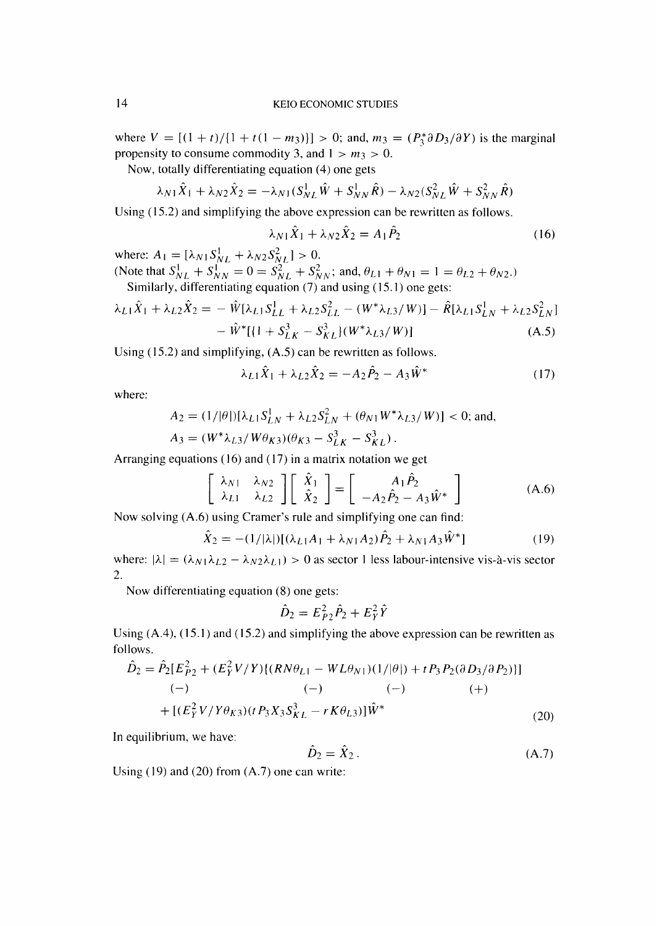where  $V = \left[\frac{(1+t)}{1+t(1-m_3)}\right] > 0$ ; and,  $m_3 = \frac{P_3^* \partial D_3}{\partial Y}$  is the marginal propensity to consume commodity 3, and  $1 > m_3 > 0$ .

Now, totally differentiating equation (4) one gets

$$
\lambda_{N1}\hat{X}_1 + \lambda_{N2}\hat{X}_2 = -\lambda_{N1}(S_{NL}^1\hat{W} + S_{NN}^1\hat{R}) - \lambda_{N2}(S_{NL}^2\hat{W} + S_{NN}^2\hat{R})
$$

Using (15.2) and simplifying the above expression can be rewritten as follows.

$$
\lambda_{N1}\hat{X}_1 + \lambda_{N2}\hat{X}_2 = A_1\hat{P}_2 \tag{16}
$$

where:  $A_1 = [\lambda_{N1} S_{NL}^1 + \lambda_{N2} S_{NL}^2] > 0.$ (Note that  $S_{NL}^1 + S_{NN}^{12} = 0 = S_{NL}^2 + S_{NN}^2$ ; and,  $\theta_{L1} + \theta_{N1} = 1 = \theta_{L2} + \theta_{N2}$ .) Similarly, differentiating equation  $(7)$  and using (15.1) one gets:

$$
\lambda_{L1}\hat{X}_1 + \lambda_{L2}\hat{X}_2 = -\hat{W}[\lambda_{L1}S_{LL}^1 + \lambda_{L2}S_{LL}^2 - (W^*\lambda_{L3}/W)] - \hat{R}[\lambda_{L1}S_{LN}^1 + \lambda_{L2}S_{LN}^2]
$$
  

$$
-\hat{W}^*[\{1 + S_{LK}^3 - S_{KL}^3\}(W^*\lambda_{L3}/W)]
$$
 (A.5)

Using (15.2) and simplifying, (A.5) can be rewritten as follows.

$$
\lambda_{L1}\hat{X}_1 + \lambda_{L2}\hat{X}_2 = -A_2\hat{P}_2 - A_3\hat{W}^*
$$
 (17)

where:

$$
A_2 = (1/|\theta|)[\lambda_{L1}S_{LN}^1 + \lambda_{L2}S_{LN}^2 + (\theta_{N1}W^* \lambda_{L3}/W)] < 0;
$$
 and,  

$$
A_3 = (W^* \lambda_{L3}/W \theta_{K3})(\theta_{K3} - S_{LK}^3 - S_{KL}^3).
$$

Arranging equations (16) and (17) in a matrix notation we get

$$
\begin{bmatrix} \lambda_{N1} & \lambda_{N2} \\ \lambda_{L1} & \lambda_{L2} \end{bmatrix} \begin{bmatrix} \hat{X}_1 \\ \hat{X}_2 \end{bmatrix} = \begin{bmatrix} A_1 \hat{P}_2 \\ -A_2 \hat{P}_2 - A_3 \hat{W}^* \end{bmatrix}
$$
 (A.6)

Now solving (A.6) using Cramer's rule and simplifying one can find:

$$
\hat{X}_2 = -(1/|\lambda|)[(\lambda_{L1}A_1 + \lambda_{N1}A_2)\hat{P}_2 + \lambda_{N1}A_3\hat{W}^*]
$$
\n(19)

where:  $|\lambda| = (\lambda_{N1}\lambda_{L2} - \lambda_{N2}\lambda_{L1}) > 0$  as sector 1 less labour-intensive vis-à-vis sector 2.

Now differentiating equation (8) one gets:

$$
\hat{D}_2 = E_{P2}^2 \hat{P}_2 + E_Y^2 \hat{Y}
$$

Using  $(A.4)$ ,  $(15.1)$  and  $(15.2)$  and simplifying the above expression can be rewritten as follows.

$$
\hat{D}_2 = \hat{P}_2[E_{P2}^2 + (E_Y^2 V/Y)\{(RN\theta_{L1} - WL\theta_{N1})(1/|\theta|) + tP_3P_2(\partial D_3/\partial P_2)\}]
$$
  
\n(-)\n(-)\n(-)\n(-)\n(-)\n(+)\n  
\n+  $[(E_Y^2 V/Y\theta_{K3})(tP_3X_3S_{KL}^3 - rK\theta_{L3})]\hat{W}^*$ \n(20)

In equilibrium, we have:

$$
\hat{D}_2 = \hat{X}_2. \tag{A.7}
$$

Using (19) and (20) from (A.7) one can write: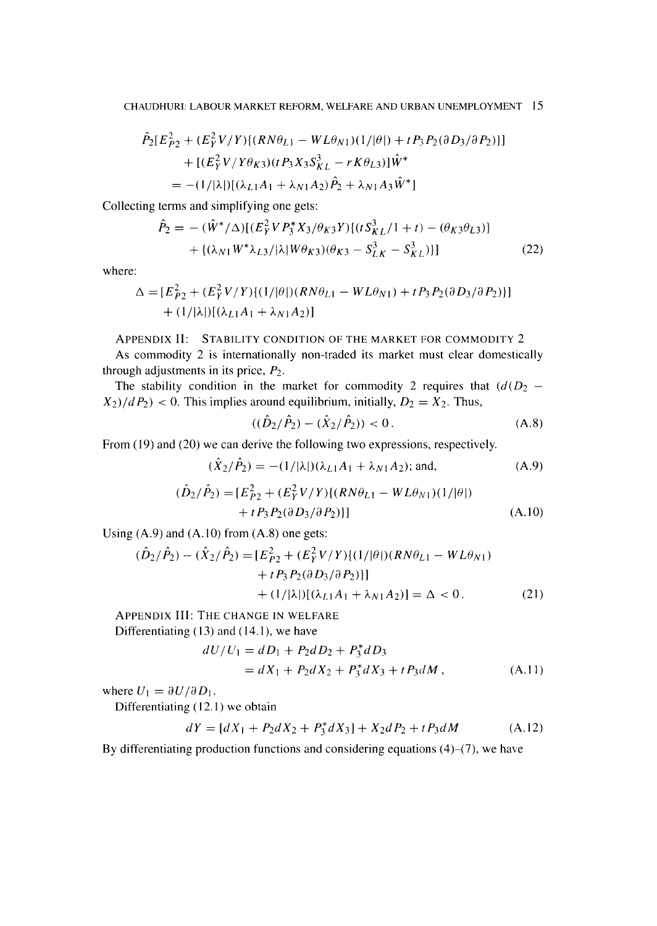$$
\hat{P}_2[E_{P2}^2 + (E_Y^2 V/Y)\{(RN\theta_{L1} - WL\theta_{N1})(1/|\theta]) + tP_3P_2(\partial D_3/\partial P_2)\}] \n+ [(E_Y^2 V/Y\theta_{K3})(tP_3X_3S_{KL}^2 - rK\theta_{L3})]\hat{W}^* \n= -(1/|\lambda|)[(\lambda_{L1}A_1 + \lambda_{N1}A_2)\hat{P}_2 + \lambda_{N1}A_3\hat{W}^*]
$$

Collecting terms and simplifying one gets:

$$
\hat{P}_2 = -(\hat{W}^*/\Delta)[(E_Y^2 V P_3^* X_3/\theta_{K3} Y)(t S_{KL}^3/1 + t) - (\theta_{K3}\theta_{L3})]
$$
  
+ {(\lambda\_{N1} W^\* \lambda\_{L3}/|\lambda| W \theta\_{K3})(\theta\_{K3} - S\_{LK}^3 - S\_{KL}^3)] (22)

where:

$$
\Delta = [E_{P2}^2 + (E_Y^2 V/Y) \{ (1/|\theta|) (RN\theta_{L1} - WL\theta_{N1}) + tP_3 P_2 (\partial D_3 / \partial P_2) \} ]
$$
  
+  $(1/|\lambda|)[(\lambda_{L1}A_1 + \lambda_{N1}A_2)]$ 

## APPENDIX II: STABILITY CONDITION OF THE MARKET FOR COMMODITY 2

As commodity 2 is internationally non-traded its market must clear domestically through adjustments in its price,  $P_2$ .

The stability condition in the market for commodity 2 requires that  $(d(D_2 X_2$ / $dP_2$ ) < 0. This implies around equilibrium, initially,  $D_2 = X_2$ . Thus,

$$
((\hat{D}_2/\hat{P}_2) - (\hat{X}_2/\hat{P}_2)) < 0. \tag{A.8}
$$

From (19) and (20) we can derive the following two expressions, respectively.

$$
(\hat{X}_2/\hat{P}_2) = -(1/|\lambda|)(\lambda_{L1}A_1 + \lambda_{N1}A_2); \text{ and,} \tag{A.9}
$$

$$
(\hat{D}_2/\hat{P}_2) = [E_{P2}^2 + (E_Y^2 V/Y)\{(RN\theta_{L1} - WL\theta_{N1})(1/|\theta|) + tP_3P_2(\partial D_3/\partial P_2)\}]
$$
\n(A.10)

Using (A.9) and (A.10) from (A.8) one gets:

$$
(\hat{D}_2/\hat{P}_2) - (\hat{X}_2/\hat{P}_2) = [E_{P2}^2 + (E_Y^2 V/Y)\{(1/|\theta|)(RN\theta_{L1} - WL\theta_{N1}) + tP_3P_2(\partial D_3/\partial P_2)\}] + (1/|\lambda|)[(\lambda_{L1}A_1 + \lambda_{N1}A_2)] = \Delta < 0.
$$
 (21)

APPENDIX III: THE CHANGE IN WELFARE Differentiating (13) and (14.1), we have

$$
dU/U_1 = dD_1 + P_2dD_2 + P_3^*dD_3
$$
  
= dX\_1 + P\_2dX\_2 + P\_3^\*dX\_3 + tP\_3dM, (A.11)

where  $U_1 = \partial U / \partial D_1$ .

Differentiating (12.1) we obtain

$$
dY = [dX_1 + P_2dX_2 + P_3^*dX_3] + X_2dP_2 + tP_3dM \tag{A.12}
$$

By differentiating production functions and considering equations  $(4)$ – $(7)$ , we have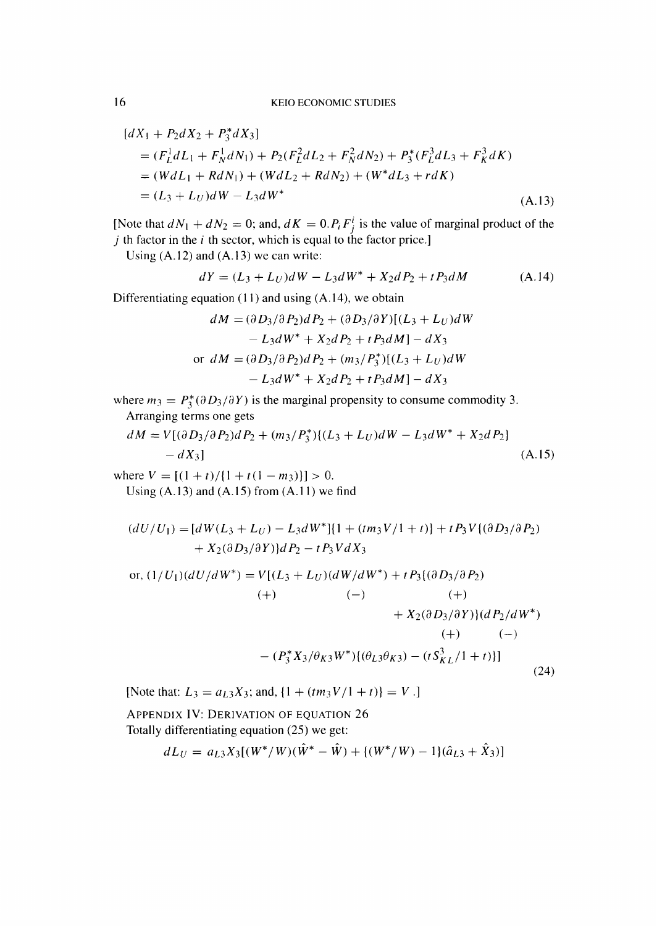$$
[dX_1 + P_2dX_2 + P_3^*dX_3]
$$
  
=  $(F_L^1dL_1 + F_N^1dN_1) + P_2(F_L^2dL_2 + F_N^2dN_2) + P_3^*(F_L^3dL_3 + F_K^3dK)$   
=  $(WdL_1 + RdN_1) + (WdL_2 + RdN_2) + (W^*dL_3 + rdK)$   
=  $(L_3 + L_U)dW - L_3dW^*$  (A.13)

[Note that  $dN_1 + dN_2 = 0$ ; and,  $dK = 0.P_iF_i^i$  is the value of marginal product of the  $j$  th factor in the  $i$  th sector, which is equal to the factor price.]

Using (A.12) and (A.13) we can write:

$$
dY = (L_3 + L_U)dW - L_3dW^* + X_2dP_2 + tP_3dM \tag{A.14}
$$

Differentiating equation (11) and using (A.14), we obtain

$$
dM = (\partial D_3/\partial P_2)dP_2 + (\partial D_3/\partial Y)[(L_3 + L_U)dW - L_3dW^* + X_2dP_2 + tP_3dM] - dX_3
$$
  
or 
$$
dM = (\partial D_3/\partial P_2)dP_2 + (m_3/P_3^*)[(L_3 + L_U)dW - L_3dW^* + X_2dP_2 + tP_3dM] - dX_3
$$

where  $m_3 = P_3^*(\partial D_3/\partial Y)$  is the marginal propensity to consume commodity 3. Arranging terms one gets

$$
dM = V[(\partial D_3/\partial P_2)dP_2 + (m_3/P_3^*)(L_3 + L_U)dW - L_3dW^* + X_2dP_2]
$$
  
- dX<sub>3</sub>] (A.15)

where  $V = [(1 + t)/{1 + t(1 - m_3)}] > 0.$ Using  $(A.13)$  and  $(A.15)$  from  $(A.11)$  we find

$$
(dU/U_1) = [dW(L_3 + L_U) - L_3 dW^*][1 + (tm_3V/1 + t)] + tP_3V((\partial D_3/\partial P_2) + X_2(\partial D_3/\partial Y))dP_2 - tP_3VdX_3
$$

or, 
$$
(1/U_1)(dU/dW^*) = V[(L_3 + L_U)(dW/dW^*) + tP_3((\partial D_3/\partial P_2)
$$
  
\n(+)  $(-)$   $(+)$   
\n $+ X_2(\partial D_3/\partial Y))(dP_2/dW^*)$   
\n(+)  $(-)$   
\n $- (P_3^* X_3/\theta_{K3} W^*){(\theta_{L3}\theta_{K3}) - (tS_{KL}^3/1 + t)}]$  (24)

[Note that:  $L_3 = a_{L3}X_3$ ; and,  $\{1 + (tm_3V/1 + t)\} = V$ .]

APPENDIX IV: DERIVATION OF EQUATION 26 Totally differentiating equation (25) we get:

$$
dL_U = a_{L3}X_3[(W^*/W)(\hat{W}^* - \hat{W}) + \{(W^*/W) - 1\}(\hat{a}_{L3} + \hat{X}_3)]
$$